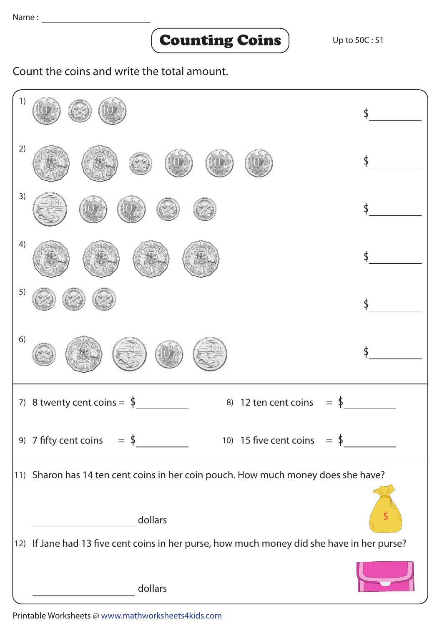## Counting Coins

Count the coins and write the total amount.